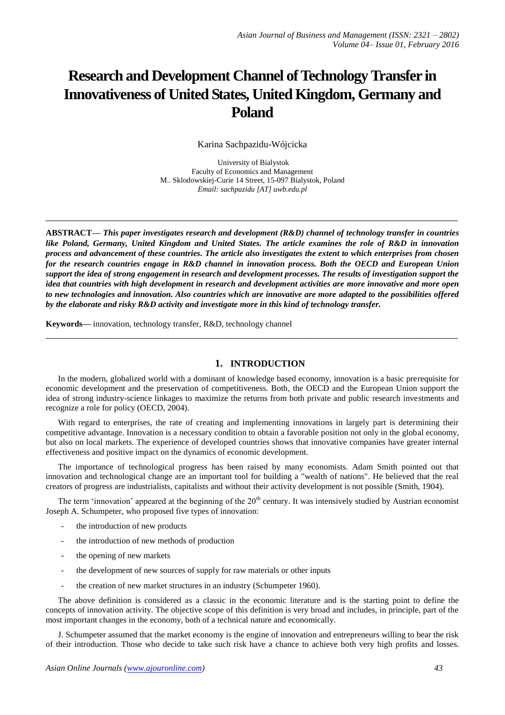# **Research and Development Channel of Technology Transfer in Innovativeness of United States, United Kingdom, Germany and Poland**

Karina Sachpazidu-Wójcicka

University of Bialystok Faculty of Economics and Management M.. Sklodowskiej-Curie 14 Street, 15-097 Bialystok, Poland *Email: sachpazidu [AT] uwb.edu.pl*

**\_\_\_\_\_\_\_\_\_\_\_\_\_\_\_\_\_\_\_\_\_\_\_\_\_\_\_\_\_\_\_\_\_\_\_\_\_\_\_\_\_\_\_\_\_\_\_\_\_\_\_\_\_\_\_\_\_\_\_\_\_\_\_\_\_\_\_\_\_\_\_\_\_\_\_\_\_\_\_\_\_**

**ABSTRACT—** *This paper investigates research and development (R&D) channel of technology transfer in countries like Poland, Germany, United Kingdom and United States. The article examines the role of R&D in innovation process and advancement of these countries. The article also investigates the extent to which enterprises from chosen for the research countries engage in R&D channel in innovation process. Both the OECD and European Union support the idea of strong engagement in research and development processes. The results of investigation support the idea that countries with high development in research and development activities are more innovative and more open to new technologies and innovation. Also countries which are innovative are more adapted to the possibilities offered by the elaborate and risky R&D activity and investigate more in this kind of technology transfer.* 

**Keywords—** innovation, technology transfer, R&D, technology channel

## **1. INTRODUCTION**

In the modern, globalized world with a dominant of knowledge based economy, innovation is a basic prerequisite for economic development and the preservation of competitiveness. Both, the OECD and the European Union support the idea of strong industry-science linkages to maximize the returns from both private and public research investments and recognize a role for policy (OECD, 2004).

**\_\_\_\_\_\_\_\_\_\_\_\_\_\_\_\_\_\_\_\_\_\_\_\_\_\_\_\_\_\_\_\_\_\_\_\_\_\_\_\_\_\_\_\_\_\_\_\_\_\_\_\_\_\_\_\_\_\_\_\_\_\_\_\_\_\_\_\_\_\_\_\_\_\_\_\_\_\_\_\_\_**

With regard to enterprises, the rate of creating and implementing innovations in largely part is determining their competitive advantage. Innovation is a necessary condition to obtain a favorable position not only in the global economy, but also on local markets. The experience of developed countries shows that innovative companies have greater internal effectiveness and positive impact on the dynamics of economic development.

The importance of technological progress has been raised by many economists. Adam Smith pointed out that innovation and technological change are an important tool for building a "wealth of nations". He believed that the real creators of progress are industrialists, capitalists and without their activity development is not possible (Smith, 1904).

The term 'innovation' appeared at the beginning of the  $20<sup>th</sup>$  century. It was intensively studied by Austrian economist Joseph A. Schumpeter, who proposed five types of innovation:

- the introduction of new products
- the introduction of new methods of production
- the opening of new markets
- the development of new sources of supply for raw materials or other inputs
- the creation of new market structures in an industry (Schumpeter 1960).

The above definition is considered as a classic in the economic literature and is the starting point to define the concepts of innovation activity. The objective scope of this definition is very broad and includes, in principle, part of the most important changes in the economy, both of a technical nature and economically.

J. Schumpeter assumed that the market economy is the engine of innovation and entrepreneurs willing to bear the risk of their introduction. Those who decide to take such risk have a chance to achieve both very high profits and losses.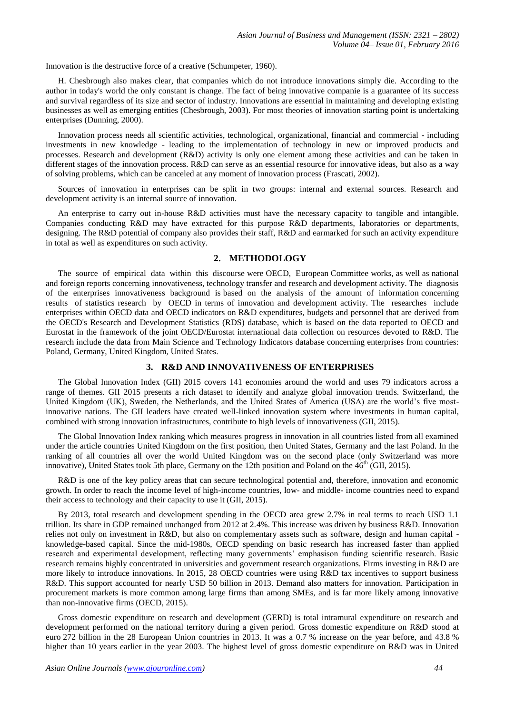Innovation is the destructive force of a creative (Schumpeter, 1960).

H. Chesbrough also makes clear, that companies which do not introduce innovations simply die. According to the author in today's world the only constant is change. The fact of being innovative companie is a guarantee of its success and survival regardless of its size and sector of industry. Innovations are essential in maintaining and developing existing businesses as well as emerging entities (Chesbrough, 2003). For most theories of innovation starting point is undertaking enterprises (Dunning, 2000).

Innovation process needs all scientific activities, technological, organizational, financial and commercial - including investments in new knowledge - leading to the implementation of technology in new or improved products and processes. Research and development (R&D) activity is only one element among these activities and can be taken in different stages of the innovation process. R&D can serve as an essential resource for innovative ideas, but also as a way of solving problems, which can be canceled at any moment of innovation process (Frascati, 2002).

Sources of innovation in enterprises can be split in two groups: internal and external sources. Research and development activity is an internal source of innovation.

An enterprise to carry out in-house R&D activities must have the necessary capacity to tangible and intangible. Companies conducting R&D may have extracted for this purpose R&D departments, laboratories or departments, designing. The R&D potential of company also provides their staff, R&D and earmarked for such an activity expenditure in total as well as expenditures on such activity.

## **2. METHODOLOGY**

The source of empirical data within this discourse were OECD, European Committee works, as well as national and foreign reports concerning innovativeness, technology transfer and research and development activity. The diagnosis of the enterprises innovativeness background is based on the analysis of the amount of information concerning results of statistics research by OECD in terms of innovation and development activity. The researches include enterprises within OECD data and OECD indicators on R&D expenditures, budgets and personnel that are derived from the OECD's Research and Development Statistics [\(RDS\)](http://www.oecd.org/sti/innovationinsciencetechnologyandindustry/researchanddevelopmentstatisticsrds.htm) database, which is based on the data reported to OECD and Eurostat in the framework of the joint OECD/Eurostat international data collection on resources devoted to R&D. The research include the data from Main Science and Technology Indicators database concerning enterprises from countries: Poland, Germany, United Kingdom, United States.

## **3. R&D AND INNOVATIVENESS OF ENTERPRISES**

The Global Innovation Index (GII) 2015 covers 141 economies around the world and uses 79 indicators across a range of themes. GII 2015 presents a rich dataset to identify and analyze global innovation trends. Switzerland, the United Kingdom (UK), Sweden, the Netherlands, and the United States of America (USA) are the world's five mostinnovative nations. The GII leaders have created well-linked innovation system where investments in human capital, combined with strong innovation infrastructures, contribute to high levels of innovativeness (GII, 2015).

The Global Innovation Index ranking which measures progress in innovation in all countries listed from all examined under the article countries United Kingdom on the first position, then United States, Germany and the last Poland. In the ranking of all countries all over the world United Kingdom was on the second place (only Switzerland was more innovative), United States took 5th place, Germany on the 12th position and Poland on the  $46<sup>th</sup>$  (GII, 2015).

R&D is one of the key policy areas that can secure technological potential and, therefore, innovation and economic growth. In order to reach the income level of high-income countries, low- and middle- income countries need to expand their access to technology and their capacity to use it (GII, 2015).

By 2013, total research and development spending in the OECD area grew 2.7% in real terms to reach USD 1.1 trillion. Its share in GDP remained unchanged from 2012 at 2.4%. This increase was driven by business R&D. Innovation relies not only on investment in R&D, but also on complementary assets such as software, design and human capital knowledge-based capital. Since the mid-1980s, OECD spending on basic research has increased faster than applied research and experimental development, reflecting many governments' emphasison funding scientific research. Basic research remains highly concentrated in universities and government research organizations. Firms investing in R&D are more likely to introduce innovations. In 2015, 28 OECD countries were using R&D tax incentives to support business R&D. This support accounted for nearly USD 50 billion in 2013. Demand also matters for innovation. Participation in procurement markets is more common among large firms than among SMEs, and is far more likely among innovative than non-innovative firms (OECD, 2015).

Gross domestic expenditure on research and development (GERD) is total intramural expenditure on research and development performed on the national territory during a given period. [Gross domestic expenditure on R&D s](http://ec.europa.eu/eurostat/statistics-explained/index.php/Glossary:Gross_domestic_expenditure_on_R_%26_D_%28GERD%29)tood at euro 272 [billion](http://ec.europa.eu/eurostat/statistics-explained/index.php/Glossary:Billion) in the 28 European Union countries in 2013. It was a 0.7 % increase on the year before, and 43.8 % higher than 10 years earlier in the year 2003. The highest level of gross domestic expenditure on R&D was in United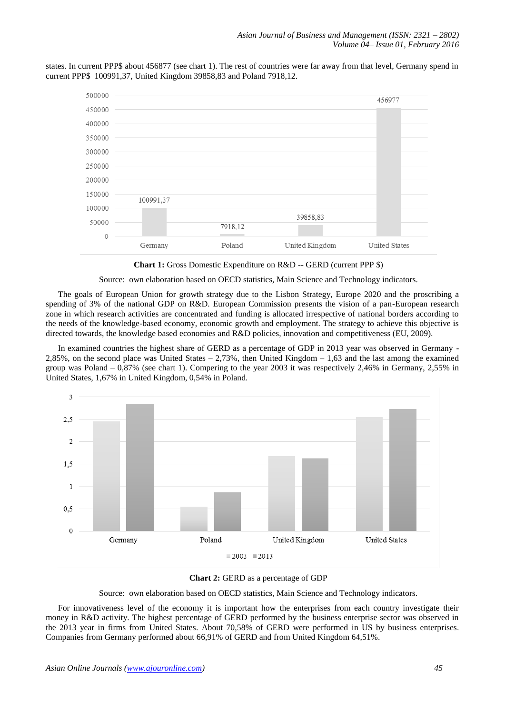states. In current PPP\$ about 456877 (see chart 1). The rest of countries were far away from that level, Germany spend in current PPP\$ 100991,37, United Kingdom 39858,83 and Poland 7918,12.



**Chart 1:** Gross Domestic Expenditure on R&D -- GERD (current PPP \$)

Source: own elaboration based on OECD statistics, Main Science and Technology indicators.

The goals of European Union for growth strategy due to the Lisbon Strategy, Europe 2020 and the proscribing a spending of 3% of the national GDP on R&D. European Commission presents the vision of a pan-European research zone in which research activities are concentrated and funding is allocated irrespective of national borders according to the needs of the knowledge-based economy, economic growth and employment. The strategy to achieve this objective is directed towards, the knowledge based economies and R&D policies, innovation and competitiveness (EU, 2009).

In examined countries the highest share of GERD as a percentage of GDP in 2013 year was observed in Germany - 2,85%, on the second place was United States – 2,73%, then United Kingdom – 1,63 and the last among the examined group was Poland – 0,87% (see chart 1). Compering to the year 2003 it was respectively 2,46% in Germany, 2,55% in United States, 1,67% in United Kingdom, 0,54% in Poland.





Source: own elaboration based on OECD statistics, Main Science and Technology indicators.

For innovativeness level of the economy it is important how the enterprises from each country investigate their money in R&D activity. The highest percentage of GERD performed by the business enterprise sector was observed in the 2013 year in firms from United States. About 70,58% of GERD were performed in US by business enterprises. Companies from Germany performed about 66,91% of GERD and from United Kingdom 64,51%.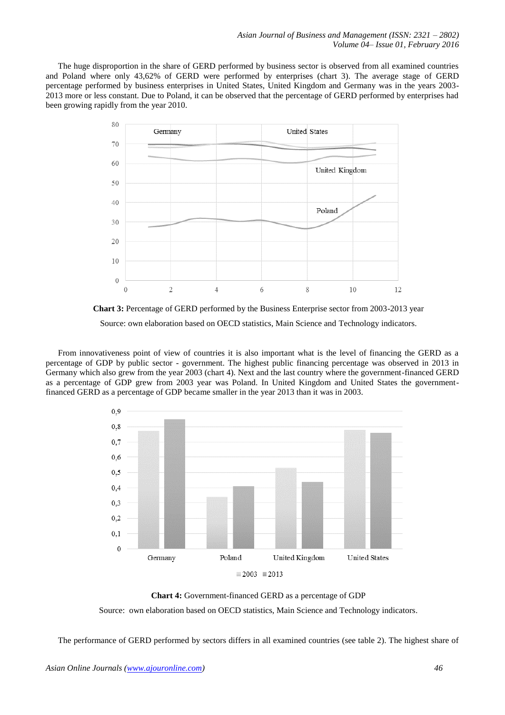The huge disproportion in the share of GERD performed by business sector is observed from all examined countries and Poland where only 43,62% of GERD were performed by enterprises (chart 3). The average stage of GERD percentage performed by business enterprises in United States, United Kingdom and Germany was in the years 2003- 2013 more or less constant. Due to Poland, it can be observed that the percentage of GERD performed by enterprises had been growing rapidly from the year 2010.





From innovativeness point of view of countries it is also important what is the level of financing the GERD as a percentage of GDP by public sector - government. The highest public financing percentage was observed in 2013 in Germany which also grew from the year 2003 (chart 4). Next and the last country where the government-financed GERD as a percentage of GDP grew from 2003 year was Poland. In United Kingdom and United States the governmentfinanced GERD as a percentage of GDP became smaller in the year 2013 than it was in 2003.



**Chart 4:** Government-financed GERD as a percentage of GDP

Source: own elaboration based on OECD statistics, Main Science and Technology indicators*.*

The performance of GERD performed by sectors differs in all examined countries (see table 2). The highest share of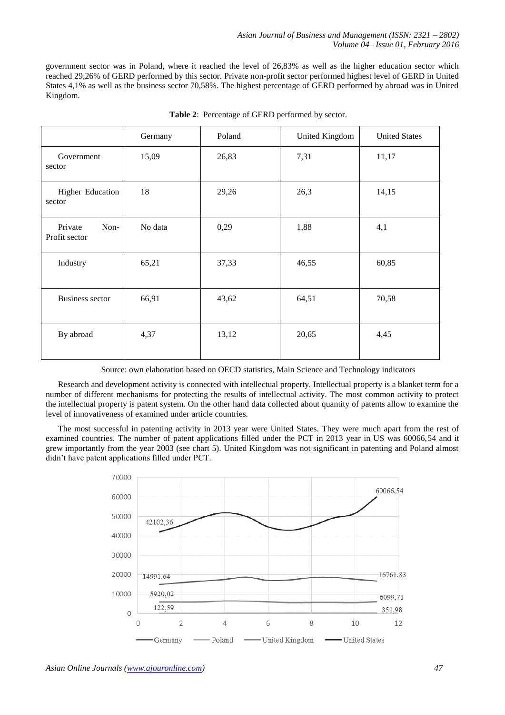government sector was in Poland, where it reached the level of 26,83% as well as the higher education sector which reached 29,26% of GERD performed by this sector. Private non-profit sector performed highest level of GERD in United States 4,1% as well as the business sector 70,58%. The highest percentage of GERD performed by abroad was in United Kingdom.

|                                  | Germany | Poland | United Kingdom | <b>United States</b> |
|----------------------------------|---------|--------|----------------|----------------------|
| Government<br>sector             | 15,09   | 26,83  | 7,31           | 11,17                |
| Higher Education<br>sector       | 18      | 29,26  | 26,3           | 14,15                |
| Private<br>Non-<br>Profit sector | No data | 0,29   | 1,88           | 4,1                  |
| Industry                         | 65,21   | 37,33  | 46,55          | 60,85                |
| <b>Business sector</b>           | 66,91   | 43,62  | 64,51          | 70,58                |
| By abroad                        | 4,37    | 13,12  | 20,65          | 4,45                 |

**Table 2**: Percentage of GERD performed by sector.

Source: own elaboration based on OECD statistics, Main Science and Technology indicators

Research and development activity is connected with intellectual property. Intellectual property is a blanket term for a number of different mechanisms for protecting the results of intellectual activity. The most common activity to protect the intellectual property is patent system. On the other hand data collected about quantity of patents allow to examine the level of innovativeness of examined under article countries.

The most successful in patenting activity in 2013 year were United States. They were much apart from the rest of examined countries. The number of patent applications filled under the PCT in 2013 year in US was 60066,54 and it grew importantly from the year 2003 (see chart 5). United Kingdom was not significant in patenting and Poland almost didn't have patent applications filled under PCT.